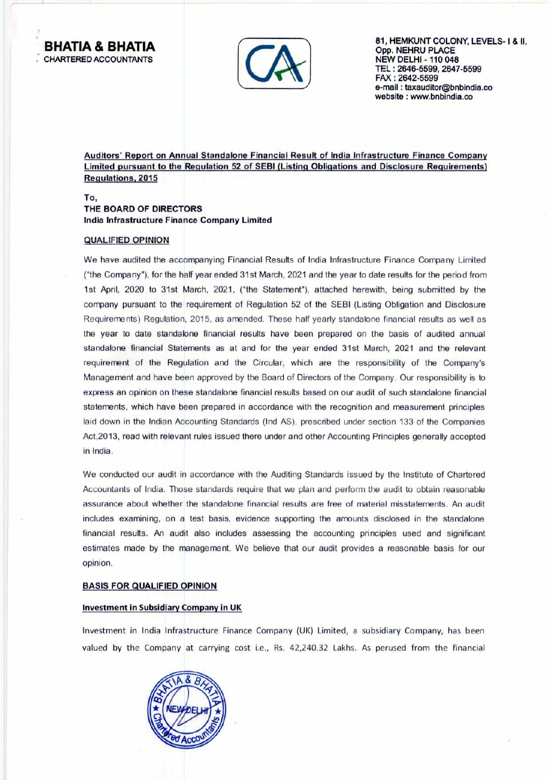



**81, HEMKUNT COLONY, LEVELS- I & II, Opp. NEHRU PLACE NEW DELHI-110 048 TEL : 2646-5599, 2647-5599 FAX : 2642-5599 e-mail:taxauditor@bnbindia.co website:www.bnbindia.co** 

**Auditors' Report on Annual Standalone Financial Result of India Infrastructure Finance Company Limited pursuant to the Regulation 52 of SEBI (Listing Obligations and Disclosure Requirements Regulations, 2015** 

**To,** 

## **THE BOARD OFDIRECTORS India Infrastructure Finance Company Limited**

#### **QUALIFIED OPINION**

We have audited the accompanying Financial Results of India Infrastructure Finance Company Limited ("the Company"), for the half year ended 31st March, 2021 and the year to date results for the period from 1st April, 2020 to 31st March, 2021, ("the Statement"), attached herewith, being submitted by the company pursuant to the requirement of Regulation 52 of the SEBI (Listing Obligation and Disclosure Requirements) Regulation, 2015, as amended. These half yearly standalone financial results as well as the year to date standalone financial results have been prepared on the basis of audited annual standalone financial Statements as at and for the year ended 31st March, 2021 and the relevant requirement of the Regulation and the Circular, which are the responsibility of the Company's Management and have been approved by the Board of Directors of the Company. Our responsibility is to express an opinion on these standalone financial results based on our audit of such standalone financial statements, which have been prepared in accordance with the recognition and measurement principles laid down in the Indian Accounting Standards (Ind AS), prescribed under section 133 of the Companies Act,2013, read with relevant rules issued there under and other Accounting Principles generally accepted in India.

We conducted our audit in accordance with the Auditing Standards issued by the Institute of Chartered Accountants of India. Those standards require that we plan and perform the audit to obtain reasonable assurance about whether the standalone financial results are free of material misstatements. An audit includes examining, on a test basis, evidence supporting the amounts disclosed in the standalone financial results. An audit also includes assessing the accounting principles used and significant estimates made by the management. We believe that our audit provides a reasonable basis for our opinion.

#### **BASISFOR QUALIFIED OPINION**

#### **Investment in Subsidiary Company in UK**

Investment in India Infrastructure Finance Company (UK) Limited, a subsidiary Company, has been valued by the Company at carrying cost i.e., Rs. 42,240.32 Lakhs. As perused from the financial

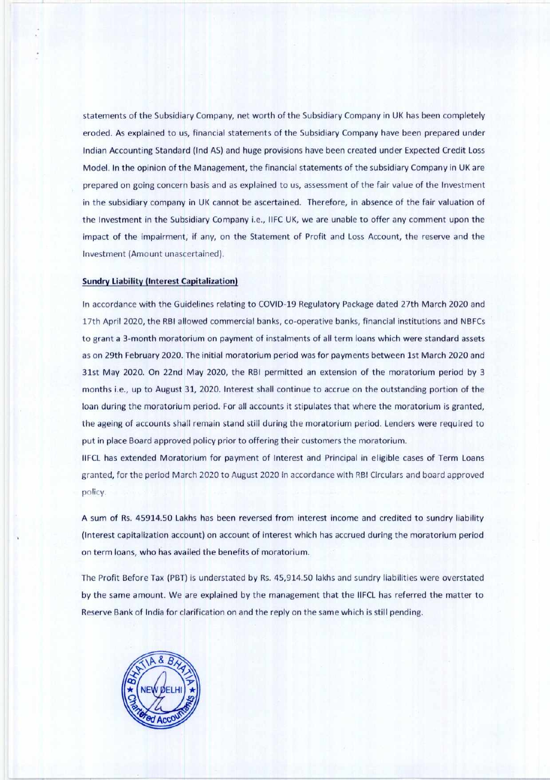statements of the Subsidiary Company, net worth of the Subsidiary Company in UK has been completely eroded. As explained to us, financial statements of the Subsidiary Company have been prepared under Indian Accounting Standard (Ind AS) and huge provisions have been created under Expected Credit Loss Model. In the opinion of the Management, the financial statements of the subsidiary Company in UK are prepared on going concern basis and as explained to us, assessment of the fair value of the Investment in the subsidiary company in UK cannot be ascertained. Therefore, in absence of the fair valuation of the Investment in the Subsidiary Company i.e., IIFC UK, we are unable to offer any comment upon the impact of the impairment, if any, on the Statement of Profit and Loss Account, the reserve and the Investment (Amount unascertained).

#### **Sundry Liability (Interest Capitalization)**

In accordance with the Guidelines relating to COVID-19 Regulatory Package dated 27th March 2020 and 17th April 2020, the RBI allowed commercial banks, co-operative banks, financial institutions and NBFCs to grant a 3-month moratorium on payment of instalments of all term loans which were standard assets as on 29th February 2020. The initial moratorium period was for payments between 1st March 2020 and 31st May 2020. On 22nd May 2020, the RBI permitted an extension of the moratorium period by 3 months i.e., up to August 31, 2020. Interest shall continue to accrue on the outstanding portion of the loan during the moratorium period. For all accounts it stipulates that where the moratorium is granted, the ageing of accounts shall remain stand still during the moratorium period. Lenders were required to put in place Board approved policy prior to offering their customers the moratorium.

IIFCL has extended Moratorium for payment of Interest and Principal in eligible cases of Term Loans granted, for the period March 2020 to August 2020 in accordance with RBI Circulars and board approved policy.

Asum of Rs. 45914.50 Lakhs has been reversed from interest income and credited to sundry liability (Interest capitalization account) on account of interest which has accrued during the moratorium period on term loans, who has availed the benefits of moratorium.

The Profit Before Tax (PBT) is understated by Rs. 45,914.50 lakhs and sundry liabilities were overstated by the same amount. We are explained by the management that the IIFCL has referred the matter to Reserve Bank of India for clarification on and the reply on the same which is still pending.

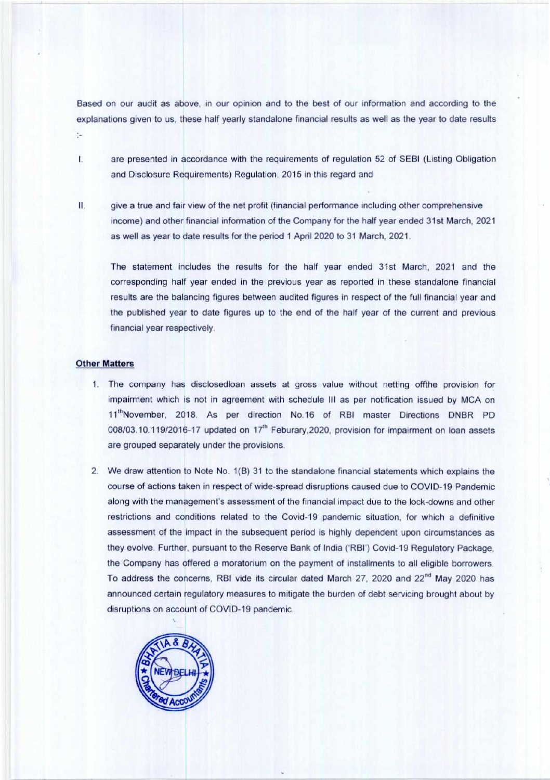Based on our audit as above, in our opinion and to the best of our information and according to the explanations given to us. these half yearly standalone financial results as well as the year to date results  $\ddot{\phantom{a}}$ 

- are presented in accordance with the requirements of regulation 52 of SEBI (Listing Obligation and Disclosure Requirements) Regulation, 2015 in this regard and
- II. give a true and fair view of the net profit (financial performance including other comprehensive income) and other financial information of the Company for the half year ended 31st March, 2021 as well as year to date results for the period 1 April 2020 to 31 March. 2021.

The statement includes the results for the half year ended 31st March, 2021 and the corresponding half year ended in the previous year as reported in these standalone financial results are the balancing figures between audited figures in respect of the full financial year and the published year to date figures up to the end of the half year of the current and previous financial year respectively.

#### **Other Matters**

Ī.

- The company has disclosedloan assets at gross value without netting offthe provision for impairment which is not in agreement with schedule III as per notification issued by MCA on 11<sup>th</sup>November, 2018. As per direction No.16 of RBI master Directions DNBR PD 008/03.10.119/2016-17 updated on  $17<sup>th</sup>$  Feburary, 2020, provision for impairment on loan assets are grouped separately under the provisions.
- We draw attention to Note No. 1(B) 31 to the standalone financial statements which explains the course of actions taken in respect of wide-spread disruptions caused due to COVID-19 Pandemic along with the management's assessment of the financial impact due to the lock-downs and other restrictions and conditions related to the Covid-19 pandemic situation, for which a definitive assessment of the impact in the subsequent period is highly dependent upon circumstances as they evolve. Further, pursuant to the Reserve Bank of India ('RBI') Covid-19 Regulatory Package. the Company has offered a moratorium on the payment of installments to all eligible borrowers. To address the concerns, RBI vide its circular dated March 27, 2020 and  $22<sup>nd</sup>$  May 2020 has announced certain regulatory measures to mitigate the burden of debt servicing brought about by disruptions on account of COVID-19 pandemic.

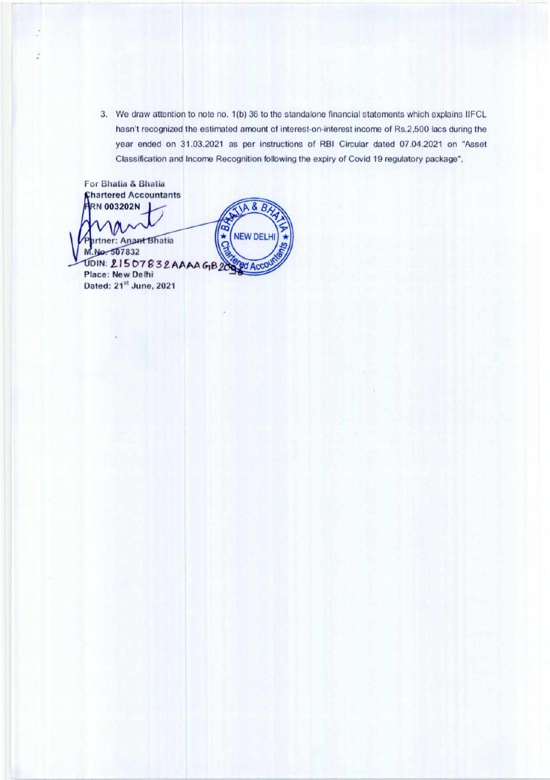3. We draw attention to note no. 1(b) 36 to the standalone financial statements which explains IIFCL hasn't recognized the estimated amount of interest-on-interest income of Rs.2,500 lacs during the year ended on 31.03.2021 as per instructions of RBI Circular dated 07.04.2021 on "Asset Classification and Income Recognition following the expiry of Covid 19 regulatory package",

For Bhatia & Bhatia **hartered Accountants N 003202N**   $A$ &  $B$  $\sqrt{9*6}$ W **NEW DELHI artner: Anant Bhatia M. No. 507832 DDIN: 21507832AAAAGB200 GO Acc Place: New Delhi Dated: 21 st June, 2021**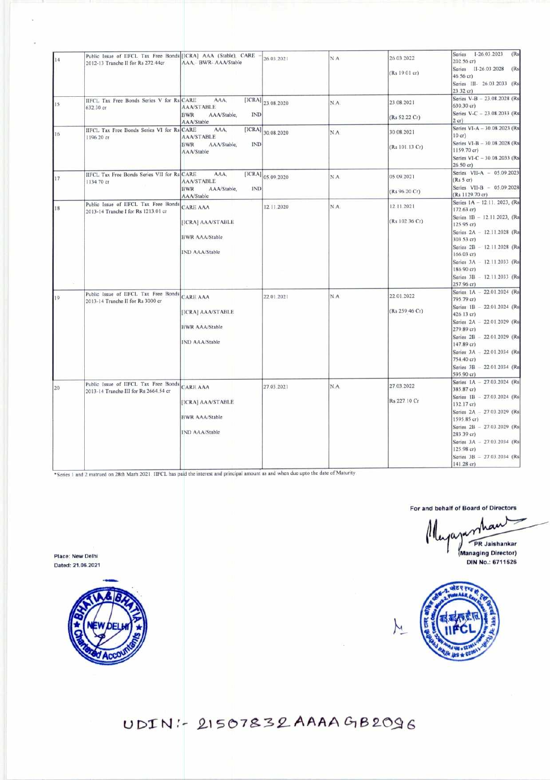|    | Public Issue of IIFCL Tax Free Bonds [ICRA] AAA (Stable), CARE                         |                                                       |                                |      |                | Series I-26.03.2023<br>(Rs)                   |
|----|----------------------------------------------------------------------------------------|-------------------------------------------------------|--------------------------------|------|----------------|-----------------------------------------------|
| 14 | 2012-13 Tranche II for Rs 272.44cr                                                     | AAA,- BWR- AAA/Stable                                 | 26.03.2021                     | NA.  | 26.03.2022     | 202.56 cr)                                    |
|    |                                                                                        |                                                       |                                |      | (Rs 19.01 cr)  | Series II-26.03.2028 (Rs<br>46.56 cr)         |
|    |                                                                                        |                                                       |                                |      |                | Series III- 26.03.2033 (Rs<br>23.32 cr)       |
| 15 | IIFCL Tax Free Bonds Series V for Rs CARE<br>632.30 cr                                 | AAA.<br><b>AAA/STABLE</b>                             | $[ICRA]$ <sub>23.08.2020</sub> | N.A. | 23.08.2021     | Series V-B - 23.08.2028 (Rs)<br>630.30 cr)    |
|    |                                                                                        | <b>BWR</b><br>AAA/Stable,<br><b>IND</b><br>AAA/Stable |                                |      | (Rs 52.22 Cr)  | Series V-C - 23.08.2033 (Rs<br>$2$ cr)        |
| 16 | IIFCL Tax Free Bonds Series VI for Rs CARE<br>1196.20 cr                               | AAA.<br><b>AAA/STABLE</b>                             | $[ICRA]$ 30.08.2020            | N.A. | 30.08.2021     | Series VI-A - 30.08.2023 (Rs<br>$10$ cr)      |
|    |                                                                                        | <b>BWR</b><br><b>IND</b><br>AAA/Stable,<br>AAA/Stable |                                |      | (Rs 101 13 Cr) | Series VI-B - 30.08.2028 (Rs<br>1159.70 cr)   |
|    |                                                                                        |                                                       |                                |      |                | Series VI-C - 30.08.2033 (Rs<br>$26.50$ cr)   |
| 17 | IIFCL Tax Free Bonds Series VII for Rs CARE<br>1134.70 cr                              | AAA,<br><b>AAA/STABLE</b>                             | $[ICRA]_{05.09.2020}$          | NA.  | 05.09.2021     | Series VII-A - 05.09.2023<br>(Rs 5 cr)        |
|    |                                                                                        | <b>IND</b><br><b>BWR</b><br>AAA/Stable,<br>AAA/Stable |                                |      | (Rs 96.20 Cr)  | Series VII-B - 05.09.2028<br>(Rs 1129.70 cr)  |
| 18 | Public Issue of IIFCL Tax Free Bonds<br>2013-14 Tranche I for Rs 1213.01 cr            | <b>CARE AAA</b>                                       | 12.11.2020                     | NA:  | 12.11.2021     | Series 1A - 12.11. 2023, (Rs)<br>$172.63$ cr) |
|    |                                                                                        | [ICRA] AAA/STABLE                                     |                                |      | (Rs 102.36 Cr) | Series 1B - 12.11.2023, (Rs)<br>$125.95$ cr)  |
|    |                                                                                        | <b>BWR AAA/Stable</b>                                 |                                |      |                | Series 2A - 12.11.2028 (Rs.<br>303.53 cr)     |
|    |                                                                                        | <b>IND AAA/Stable</b>                                 |                                |      |                | Series 2B - 12.11.2028 (Rs<br>$166.03$ cr)    |
|    |                                                                                        |                                                       |                                |      |                | Series 3A - 12.11.2033 (Rs.<br>186.90 cr)     |
|    |                                                                                        |                                                       |                                |      |                | Series 3B - 12.11.2033 (Rs)<br>257.96 cr)     |
| 19 | Public Issue of IIFCL Tax Free Bonds<br>2013-14 Tranche II for Rs 3000 cr              | <b>CARE AAA</b>                                       | 22.01.2021                     | N.A. | 22.01.2022     | Series 1A - 22.01.2024 (Rs<br>795.79 cr)      |
|    |                                                                                        | <b>[ICRA] AAA/STABLE</b>                              |                                |      | (Rs 259.46 Cr) | Series 1B - 22.01.2024 (Rs<br>426.13 cr)      |
|    |                                                                                        | <b>BWR AAA/Stable</b>                                 |                                |      |                | Series 2A - 22.01.2029 (Rs)<br>279.89 cr)     |
|    |                                                                                        | IND AAA/Stable                                        |                                |      |                | Series 2B - 22.01.2029 (Rs<br>$147.89$ cr)    |
|    |                                                                                        |                                                       |                                |      |                | Series 3A - 22.01.2034 (Rs)<br>754.40 cr)     |
|    |                                                                                        |                                                       |                                |      |                | Series 3B - 22.01.2034 (Rs<br>595.90 cr)      |
| 20 | Public Issue of IIFCL Tax Free Bonds CARE AAA<br>2013-14 Tranche III for Rs 2664.54 cr |                                                       | 27.03.2021                     | N.A. | 27.03.2022     | Series 1A - 27.03.2024 (Rs)<br>385.87 cr)     |
|    |                                                                                        | <b>[ICRA] AAA/STABLE</b>                              |                                |      | Rs 227 10 Cr   | Series 1B - 27.03.2024 (Rs)<br>132.17 cr)     |
|    |                                                                                        | <b>BWR AAA/Stable</b>                                 |                                |      |                | Series 2A - 27.03.2029 (Rs)<br>1595.85 cr)    |
|    |                                                                                        | <b>IND AAA/Stable</b>                                 |                                |      |                | Series 2B - 27.03.2029 (Rs)<br>283.39 cr)     |
|    |                                                                                        |                                                       |                                |      |                | Series 3A - 27.03.2034 (Rs)<br>125.98 cr)     |
|    |                                                                                        |                                                       |                                |      |                | Series 3B - 27.03.2034 (Rs<br>$141.28$ cr)    |

• Series I and 2 matrued on 28th Marh 2021 11FCL has paid the interest and principal amount as and when due upto the date of Maturity

**For and** behalf of Board of Directors

PR Jaishankar

Managing Director) DIN No.: 6711526



**Place: New Delhi Dated: 21.06.2021** 



# U DIN :- 21507832 AAAA GB2096